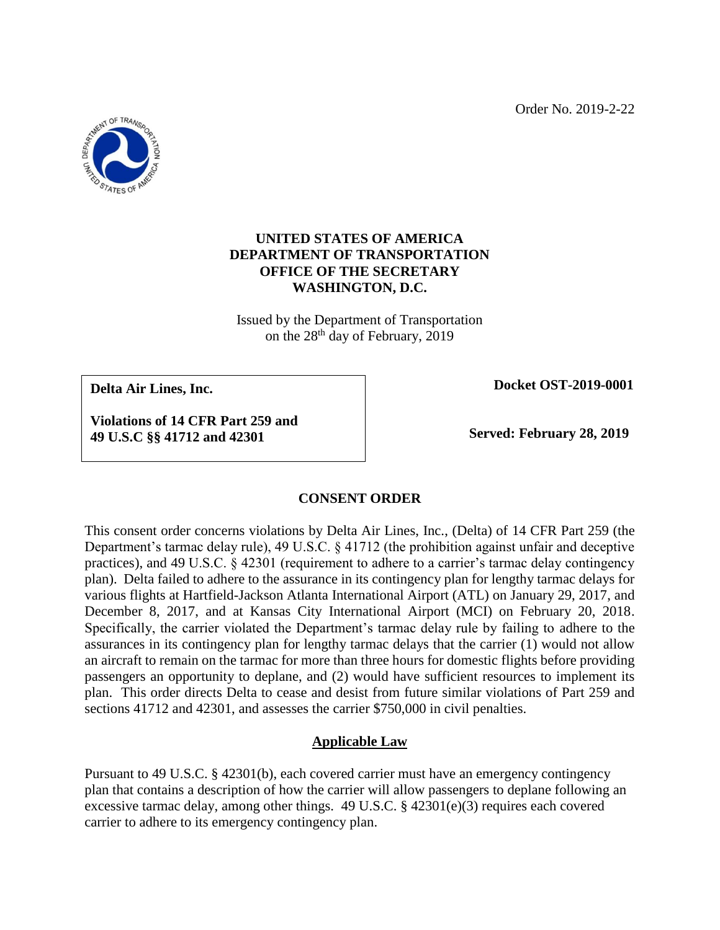Order No. 2019-2-22



# **UNITED STATES OF AMERICA DEPARTMENT OF TRANSPORTATION OFFICE OF THE SECRETARY WASHINGTON, D.C.**

Issued by the Department of Transportation on the 28th day of February, 2019

**Delta Air Lines, Inc.**

 **Docket OST-2019-0001**

**Violations of 14 CFR Part 259 and 49 U.S.C §§ 41712 and 42301**

 **Served: February 28, 2019**

# **CONSENT ORDER**

This consent order concerns violations by Delta Air Lines, Inc., (Delta) of 14 CFR Part 259 (the Department's tarmac delay rule), 49 U.S.C. § 41712 (the prohibition against unfair and deceptive practices), and 49 U.S.C. § 42301 (requirement to adhere to a carrier's tarmac delay contingency plan). Delta failed to adhere to the assurance in its contingency plan for lengthy tarmac delays for various flights at Hartfield-Jackson Atlanta International Airport (ATL) on January 29, 2017, and December 8, 2017, and at Kansas City International Airport (MCI) on February 20, 2018. Specifically, the carrier violated the Department's tarmac delay rule by failing to adhere to the assurances in its contingency plan for lengthy tarmac delays that the carrier (1) would not allow an aircraft to remain on the tarmac for more than three hours for domestic flights before providing passengers an opportunity to deplane, and (2) would have sufficient resources to implement its plan. This order directs Delta to cease and desist from future similar violations of Part 259 and sections 41712 and 42301, and assesses the carrier \$750,000 in civil penalties.

# **Applicable Law**

Pursuant to 49 U.S.C. § 42301(b), each covered carrier must have an emergency contingency plan that contains a description of how the carrier will allow passengers to deplane following an excessive tarmac delay, among other things. 49 U.S.C. § 42301(e)(3) requires each covered carrier to adhere to its emergency contingency plan.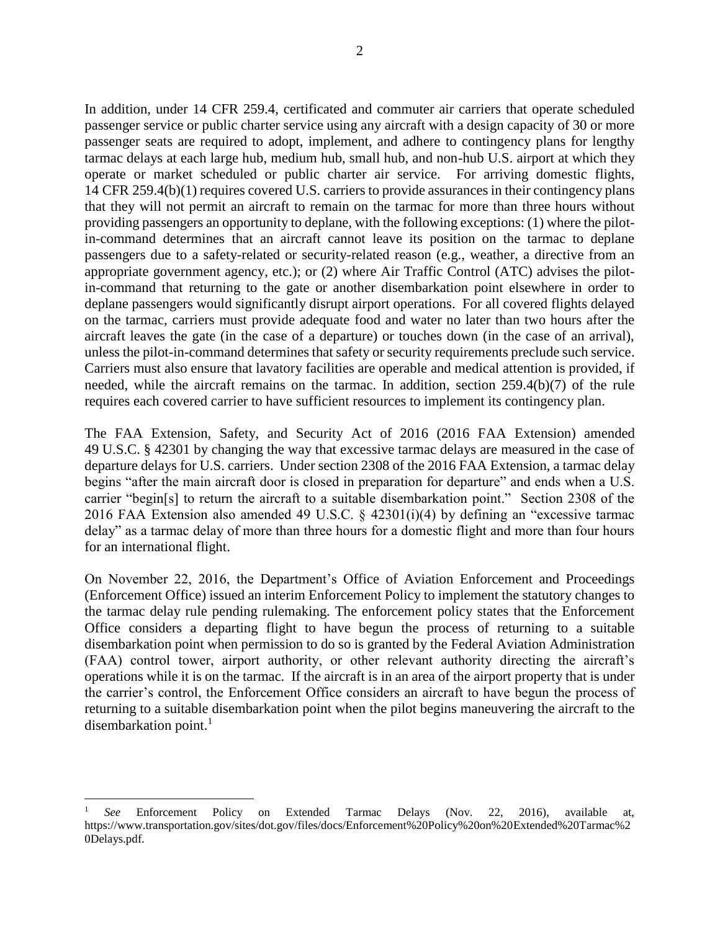In addition, under 14 CFR 259.4, certificated and commuter air carriers that operate scheduled passenger service or public charter service using any aircraft with a design capacity of 30 or more passenger seats are required to adopt, implement, and adhere to contingency plans for lengthy tarmac delays at each large hub, medium hub, small hub, and non-hub U.S. airport at which they operate or market scheduled or public charter air service. For arriving domestic flights, 14 CFR 259.4(b)(1) requires covered U.S. carriers to provide assurances in their contingency plans that they will not permit an aircraft to remain on the tarmac for more than three hours without providing passengers an opportunity to deplane, with the following exceptions: (1) where the pilotin-command determines that an aircraft cannot leave its position on the tarmac to deplane passengers due to a safety-related or security-related reason (e.g., weather, a directive from an appropriate government agency, etc.); or (2) where Air Traffic Control (ATC) advises the pilotin-command that returning to the gate or another disembarkation point elsewhere in order to deplane passengers would significantly disrupt airport operations. For all covered flights delayed on the tarmac, carriers must provide adequate food and water no later than two hours after the aircraft leaves the gate (in the case of a departure) or touches down (in the case of an arrival), unless the pilot-in-command determines that safety or security requirements preclude such service. Carriers must also ensure that lavatory facilities are operable and medical attention is provided, if needed, while the aircraft remains on the tarmac. In addition, section 259.4(b)(7) of the rule requires each covered carrier to have sufficient resources to implement its contingency plan.

The FAA Extension, Safety, and Security Act of 2016 (2016 FAA Extension) amended 49 U.S.C. § 42301 by changing the way that excessive tarmac delays are measured in the case of departure delays for U.S. carriers. Under section 2308 of the 2016 FAA Extension, a tarmac delay begins "after the main aircraft door is closed in preparation for departure" and ends when a U.S. carrier "begin[s] to return the aircraft to a suitable disembarkation point." Section 2308 of the 2016 FAA Extension also amended 49 U.S.C. § 42301(i)(4) by defining an "excessive tarmac delay" as a tarmac delay of more than three hours for a domestic flight and more than four hours for an international flight.

On November 22, 2016, the Department's Office of Aviation Enforcement and Proceedings (Enforcement Office) issued an interim Enforcement Policy to implement the statutory changes to the tarmac delay rule pending rulemaking. The enforcement policy states that the Enforcement Office considers a departing flight to have begun the process of returning to a suitable disembarkation point when permission to do so is granted by the Federal Aviation Administration (FAA) control tower, airport authority, or other relevant authority directing the aircraft's operations while it is on the tarmac. If the aircraft is in an area of the airport property that is under the carrier's control, the Enforcement Office considers an aircraft to have begun the process of returning to a suitable disembarkation point when the pilot begins maneuvering the aircraft to the disembarkation point. $<sup>1</sup>$ </sup>

 $\overline{a}$ 

<sup>1</sup> *See* Enforcement Policy on Extended Tarmac Delays (Nov. 22, 2016), available at, https://www.transportation.gov/sites/dot.gov/files/docs/Enforcement%20Policy%20on%20Extended%20Tarmac%2 0Delays.pdf.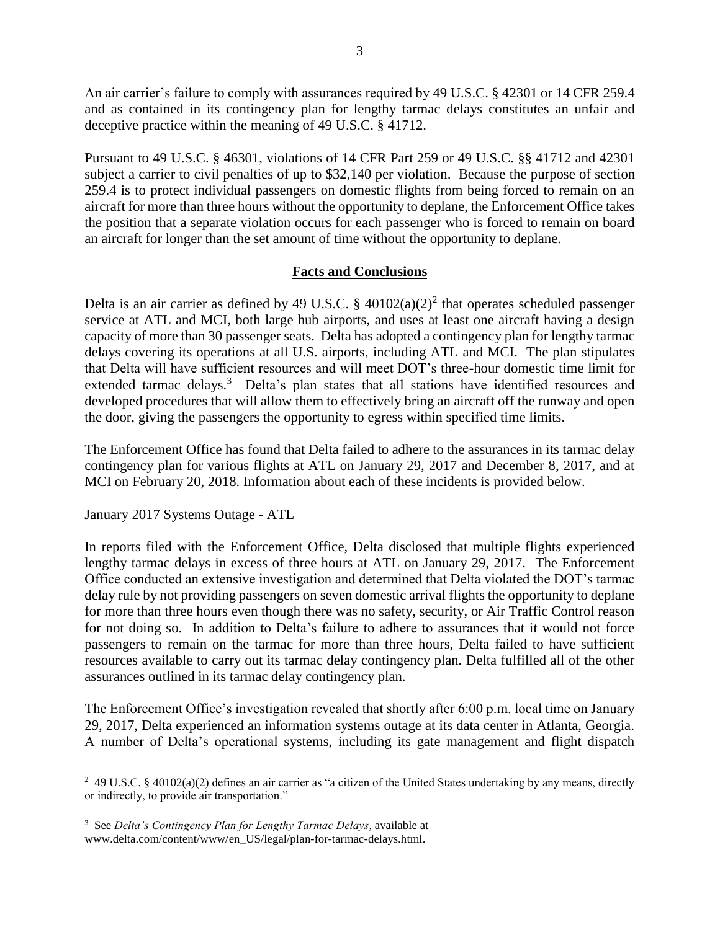An air carrier's failure to comply with assurances required by 49 U.S.C. § 42301 or 14 CFR 259.4 and as contained in its contingency plan for lengthy tarmac delays constitutes an unfair and deceptive practice within the meaning of 49 U.S.C. § 41712.

Pursuant to 49 U.S.C. § 46301, violations of 14 CFR Part 259 or 49 U.S.C. §§ 41712 and 42301 subject a carrier to civil penalties of up to \$32,140 per violation. Because the purpose of section 259.4 is to protect individual passengers on domestic flights from being forced to remain on an aircraft for more than three hours without the opportunity to deplane, the Enforcement Office takes the position that a separate violation occurs for each passenger who is forced to remain on board an aircraft for longer than the set amount of time without the opportunity to deplane.

## **Facts and Conclusions**

Delta is an air carrier as defined by 49 U.S.C.  $\S$  40102(a)(2)<sup>2</sup> that operates scheduled passenger service at ATL and MCI, both large hub airports, and uses at least one aircraft having a design capacity of more than 30 passenger seats. Delta has adopted a contingency plan for lengthy tarmac delays covering its operations at all U.S. airports, including ATL and MCI. The plan stipulates that Delta will have sufficient resources and will meet DOT's three-hour domestic time limit for extended tarmac delays.<sup>3</sup> Delta's plan states that all stations have identified resources and developed procedures that will allow them to effectively bring an aircraft off the runway and open the door, giving the passengers the opportunity to egress within specified time limits.

The Enforcement Office has found that Delta failed to adhere to the assurances in its tarmac delay contingency plan for various flights at ATL on January 29, 2017 and December 8, 2017, and at MCI on February 20, 2018. Information about each of these incidents is provided below.

### January 2017 Systems Outage - ATL

 $\overline{a}$ 

In reports filed with the Enforcement Office, Delta disclosed that multiple flights experienced lengthy tarmac delays in excess of three hours at ATL on January 29, 2017. The Enforcement Office conducted an extensive investigation and determined that Delta violated the DOT's tarmac delay rule by not providing passengers on seven domestic arrival flights the opportunity to deplane for more than three hours even though there was no safety, security, or Air Traffic Control reason for not doing so. In addition to Delta's failure to adhere to assurances that it would not force passengers to remain on the tarmac for more than three hours, Delta failed to have sufficient resources available to carry out its tarmac delay contingency plan. Delta fulfilled all of the other assurances outlined in its tarmac delay contingency plan.

The Enforcement Office's investigation revealed that shortly after 6:00 p.m. local time on January 29, 2017, Delta experienced an information systems outage at its data center in Atlanta, Georgia. A number of Delta's operational systems, including its gate management and flight dispatch

<sup>2</sup> 49 U.S.C. § 40102(a)(2) defines an air carrier as "a citizen of the United States undertaking by any means, directly or indirectly, to provide air transportation."

<sup>3</sup> See *Delta's Contingency Plan for Lengthy Tarmac Delays*, available at www.delta.com/content/www/en\_US/legal/plan-for-tarmac-delays.html.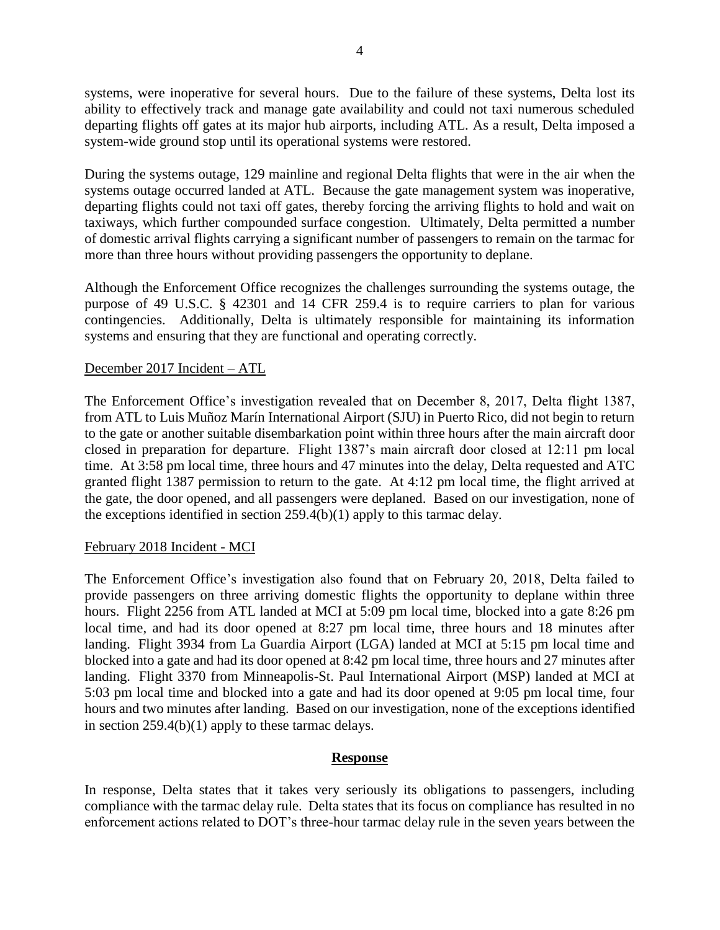systems, were inoperative for several hours. Due to the failure of these systems, Delta lost its ability to effectively track and manage gate availability and could not taxi numerous scheduled departing flights off gates at its major hub airports, including ATL. As a result, Delta imposed a system-wide ground stop until its operational systems were restored.

During the systems outage, 129 mainline and regional Delta flights that were in the air when the systems outage occurred landed at ATL. Because the gate management system was inoperative, departing flights could not taxi off gates, thereby forcing the arriving flights to hold and wait on taxiways, which further compounded surface congestion. Ultimately, Delta permitted a number of domestic arrival flights carrying a significant number of passengers to remain on the tarmac for more than three hours without providing passengers the opportunity to deplane.

Although the Enforcement Office recognizes the challenges surrounding the systems outage, the purpose of 49 U.S.C. § 42301 and 14 CFR 259.4 is to require carriers to plan for various contingencies. Additionally, Delta is ultimately responsible for maintaining its information systems and ensuring that they are functional and operating correctly.

## December 2017 Incident – ATL

The Enforcement Office's investigation revealed that on December 8, 2017, Delta flight 1387, from ATL to Luis Muñoz Marín International Airport (SJU) in Puerto Rico, did not begin to return to the gate or another suitable disembarkation point within three hours after the main aircraft door closed in preparation for departure. Flight 1387's main aircraft door closed at 12:11 pm local time. At 3:58 pm local time, three hours and 47 minutes into the delay, Delta requested and ATC granted flight 1387 permission to return to the gate. At 4:12 pm local time, the flight arrived at the gate, the door opened, and all passengers were deplaned. Based on our investigation, none of the exceptions identified in section  $259.4(b)(1)$  apply to this tarmac delay.

### February 2018 Incident - MCI

The Enforcement Office's investigation also found that on February 20, 2018, Delta failed to provide passengers on three arriving domestic flights the opportunity to deplane within three hours. Flight 2256 from ATL landed at MCI at 5:09 pm local time, blocked into a gate 8:26 pm local time, and had its door opened at 8:27 pm local time, three hours and 18 minutes after landing. Flight 3934 from La Guardia Airport (LGA) landed at MCI at 5:15 pm local time and blocked into a gate and had its door opened at 8:42 pm local time, three hours and 27 minutes after landing. Flight 3370 from Minneapolis-St. Paul International Airport (MSP) landed at MCI at 5:03 pm local time and blocked into a gate and had its door opened at 9:05 pm local time, four hours and two minutes after landing. Based on our investigation, none of the exceptions identified in section 259.4(b)(1) apply to these tarmac delays.

#### **Response**

In response, Delta states that it takes very seriously its obligations to passengers, including compliance with the tarmac delay rule. Delta states that its focus on compliance has resulted in no enforcement actions related to DOT's three-hour tarmac delay rule in the seven years between the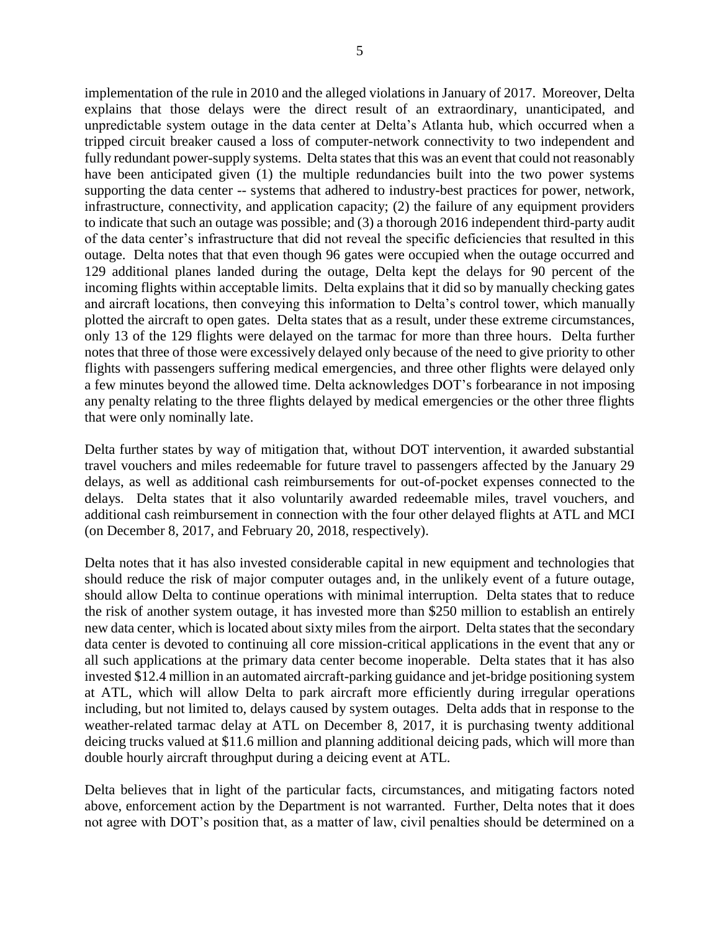implementation of the rule in 2010 and the alleged violations in January of 2017. Moreover, Delta explains that those delays were the direct result of an extraordinary, unanticipated, and unpredictable system outage in the data center at Delta's Atlanta hub, which occurred when a tripped circuit breaker caused a loss of computer-network connectivity to two independent and fully redundant power-supply systems. Delta states that this was an event that could not reasonably have been anticipated given (1) the multiple redundancies built into the two power systems supporting the data center -- systems that adhered to industry-best practices for power, network, infrastructure, connectivity, and application capacity; (2) the failure of any equipment providers to indicate that such an outage was possible; and (3) a thorough 2016 independent third-party audit of the data center's infrastructure that did not reveal the specific deficiencies that resulted in this outage. Delta notes that that even though 96 gates were occupied when the outage occurred and 129 additional planes landed during the outage, Delta kept the delays for 90 percent of the incoming flights within acceptable limits. Delta explains that it did so by manually checking gates and aircraft locations, then conveying this information to Delta's control tower, which manually plotted the aircraft to open gates. Delta states that as a result, under these extreme circumstances, only 13 of the 129 flights were delayed on the tarmac for more than three hours. Delta further notes that three of those were excessively delayed only because of the need to give priority to other flights with passengers suffering medical emergencies, and three other flights were delayed only a few minutes beyond the allowed time. Delta acknowledges DOT's forbearance in not imposing any penalty relating to the three flights delayed by medical emergencies or the other three flights that were only nominally late.

Delta further states by way of mitigation that, without DOT intervention, it awarded substantial travel vouchers and miles redeemable for future travel to passengers affected by the January 29 delays, as well as additional cash reimbursements for out-of-pocket expenses connected to the delays. Delta states that it also voluntarily awarded redeemable miles, travel vouchers, and additional cash reimbursement in connection with the four other delayed flights at ATL and MCI (on December 8, 2017, and February 20, 2018, respectively).

Delta notes that it has also invested considerable capital in new equipment and technologies that should reduce the risk of major computer outages and, in the unlikely event of a future outage, should allow Delta to continue operations with minimal interruption. Delta states that to reduce the risk of another system outage, it has invested more than \$250 million to establish an entirely new data center, which is located about sixty miles from the airport. Delta states that the secondary data center is devoted to continuing all core mission-critical applications in the event that any or all such applications at the primary data center become inoperable. Delta states that it has also invested \$12.4 million in an automated aircraft-parking guidance and jet-bridge positioning system at ATL, which will allow Delta to park aircraft more efficiently during irregular operations including, but not limited to, delays caused by system outages. Delta adds that in response to the weather-related tarmac delay at ATL on December 8, 2017, it is purchasing twenty additional deicing trucks valued at \$11.6 million and planning additional deicing pads, which will more than double hourly aircraft throughput during a deicing event at ATL.

Delta believes that in light of the particular facts, circumstances, and mitigating factors noted above, enforcement action by the Department is not warranted. Further, Delta notes that it does not agree with DOT's position that, as a matter of law, civil penalties should be determined on a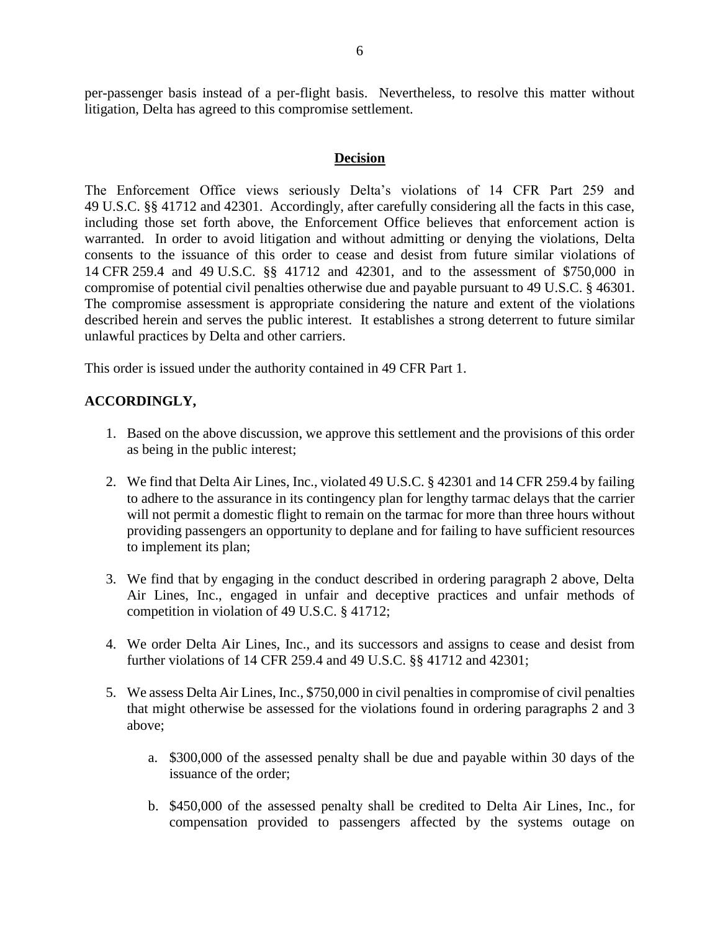per-passenger basis instead of a per-flight basis. Nevertheless, to resolve this matter without litigation, Delta has agreed to this compromise settlement.

#### **Decision**

The Enforcement Office views seriously Delta's violations of 14 CFR Part 259 and 49 U.S.C. §§ 41712 and 42301. Accordingly, after carefully considering all the facts in this case, including those set forth above, the Enforcement Office believes that enforcement action is warranted. In order to avoid litigation and without admitting or denying the violations, Delta consents to the issuance of this order to cease and desist from future similar violations of 14 CFR 259.4 and 49 U.S.C. §§ 41712 and 42301, and to the assessment of \$750,000 in compromise of potential civil penalties otherwise due and payable pursuant to 49 U.S.C. § 46301. The compromise assessment is appropriate considering the nature and extent of the violations described herein and serves the public interest. It establishes a strong deterrent to future similar unlawful practices by Delta and other carriers.

This order is issued under the authority contained in 49 CFR Part 1.

## **ACCORDINGLY,**

- 1. Based on the above discussion, we approve this settlement and the provisions of this order as being in the public interest;
- 2. We find that Delta Air Lines, Inc., violated 49 U.S.C. § 42301 and 14 CFR 259.4 by failing to adhere to the assurance in its contingency plan for lengthy tarmac delays that the carrier will not permit a domestic flight to remain on the tarmac for more than three hours without providing passengers an opportunity to deplane and for failing to have sufficient resources to implement its plan;
- 3. We find that by engaging in the conduct described in ordering paragraph 2 above, Delta Air Lines, Inc., engaged in unfair and deceptive practices and unfair methods of competition in violation of 49 U.S.C. § 41712;
- 4. We order Delta Air Lines, Inc., and its successors and assigns to cease and desist from further violations of 14 CFR 259.4 and 49 U.S.C. §§ 41712 and 42301;
- 5. We assess Delta Air Lines, Inc., \$750,000 in civil penalties in compromise of civil penalties that might otherwise be assessed for the violations found in ordering paragraphs 2 and 3 above;
	- a. \$300,000 of the assessed penalty shall be due and payable within 30 days of the issuance of the order;
	- b. \$450,000 of the assessed penalty shall be credited to Delta Air Lines, Inc., for compensation provided to passengers affected by the systems outage on